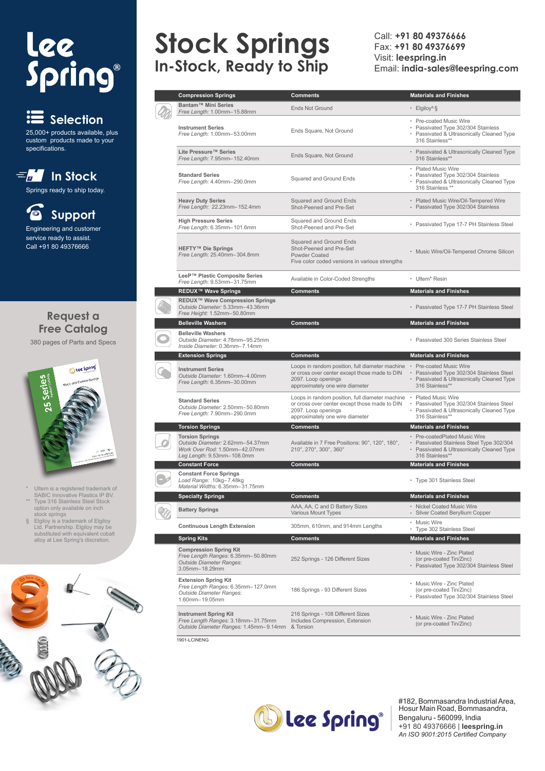# lee<br>Spring®





## **Stock Springs In-Stock, Ready to Ship**

Call: **+91 80 49376666** Fax: **+91 80 49376699** Visit: **leespring.in** Email: **india-sales@leespring.com**

| <b>Compression Springs</b>                                                                                   | <b>Comments</b>                                                                                                                                            | <b>Materials and Finishes</b>                                                                                                         |
|--------------------------------------------------------------------------------------------------------------|------------------------------------------------------------------------------------------------------------------------------------------------------------|---------------------------------------------------------------------------------------------------------------------------------------|
| Bantam™ Mini Series                                                                                          |                                                                                                                                                            |                                                                                                                                       |
| Free Length: 1.00mm-15.88mm                                                                                  | <b>Ends Not Ground</b>                                                                                                                                     | • Elgiloy®§                                                                                                                           |
| <b>Instrument Series</b>                                                                                     |                                                                                                                                                            | • Pre-coated Music Wire<br>• Passivated Type 302/304 Stainless                                                                        |
| Free Length: 1.00mm-53.00mm                                                                                  | Ends Square, Not Ground                                                                                                                                    | • Passivated & Ultrasonically Cleaned Type                                                                                            |
|                                                                                                              |                                                                                                                                                            | 316 Stainless**                                                                                                                       |
| Lite Pressure™ Series<br>Free Length: 7.95mm-152.40mm                                                        | Ends Square, Not Ground                                                                                                                                    | • Passivated & Ultrasonically Cleaned Type<br>316 Stainless**                                                                         |
| <b>Standard Series</b>                                                                                       |                                                                                                                                                            | • Plated Music Wire<br>• Passivated Type 302/304 Stainless                                                                            |
| Free Length: 4.40mm-290.0mm                                                                                  | Squared and Ground Ends                                                                                                                                    | • Passivated & Ultrasonically Cleaned Type<br>316 Stainless **                                                                        |
| <b>Heavy Duty Series</b>                                                                                     | Squared and Ground Ends                                                                                                                                    | • Plated Music Wire/Oil-Tempered Wire                                                                                                 |
| Free Length: 22.23mm-152.4mm                                                                                 | Shot-Peened and Pre-Set                                                                                                                                    | • Passivated Type 302/304 Stainless                                                                                                   |
| <b>High Pressure Series</b><br>Free Length: 6.35mm-101.6mm                                                   | Squared and Ground Ends<br>Shot-Peened and Pre-Set                                                                                                         | • Passivated Type 17-7 PH Stainless Steel                                                                                             |
|                                                                                                              |                                                                                                                                                            |                                                                                                                                       |
| <b>HEFTY™ Die Springs</b>                                                                                    | Squared and Ground Ends<br>Shot-Peened and Pre-Set                                                                                                         |                                                                                                                                       |
| Free Length: 25.40mm-304.8mm                                                                                 | Powder Coated                                                                                                                                              | • Music Wire/Oil-Tempered Chrome Silicon                                                                                              |
|                                                                                                              | Five color coded versions in various strengths                                                                                                             |                                                                                                                                       |
| LeeP™ Plastic Composite Series<br>Free Length: 9.53mm-31.75mm                                                | Available in Color-Coded Strengths                                                                                                                         | • Ultem* Resin                                                                                                                        |
| <b>REDUX™ Wave Springs</b>                                                                                   | <b>Comments</b>                                                                                                                                            | <b>Materials and Finishes</b>                                                                                                         |
| REDUX™ Wave Compression Springs<br>Outside Diameter: 5.33mm-43.36mm<br>Free Height: 1.52mm-50.80mm           |                                                                                                                                                            | • Passivated Type 17-7 PH Stainless Steel                                                                                             |
| <b>Belleville Washers</b>                                                                                    | <b>Comments</b>                                                                                                                                            | <b>Materials and Finishes</b>                                                                                                         |
| <b>Belleville Washers</b>                                                                                    |                                                                                                                                                            |                                                                                                                                       |
| Outside Diameter: 4.78mm-95.25mm<br>Inside Diameter: 0.36mm-7.14mm                                           |                                                                                                                                                            | • Passivated 300 Series Stainless Steel                                                                                               |
| <b>Extension Springs</b>                                                                                     | <b>Comments</b>                                                                                                                                            | <b>Materials and Finishes</b>                                                                                                         |
| <b>Instrument Series</b><br>Outside Diameter: 1.60mm-4.00mm<br>Free Length: 6.35mm-30.00mm                   | Loops in random position, full diameter machine<br>or cross over center except those made to DIN<br>2097. Loop openings<br>approximately one wire diameter | • Pre-coated Music Wire<br>• Passivated Type 302/304 Stainless Steel<br>• Passivated & Ultrasonically Cleaned Type<br>316 Stainless** |
|                                                                                                              | Loops in random position, full diameter machine                                                                                                            | • Plated Music Wire                                                                                                                   |
| <b>Standard Series</b><br>Outside Diameter: 2.50mm-50.80mm                                                   | or cross over center except those made to DIN                                                                                                              | Passivated Type 302/304 Stainless Steel                                                                                               |
| Free Length: 7.90mm-290.0mm                                                                                  | 2097. Loop openings<br>approximately one wire diameter                                                                                                     | • Passivated & Ultrasonically Cleaned Type<br>316 Stainless**                                                                         |
| <b>Torsion Springs</b>                                                                                       | <b>Comments</b>                                                                                                                                            | <b>Materials and Finishes</b>                                                                                                         |
| <b>Torsion Springs</b>                                                                                       |                                                                                                                                                            | • Pre-coatedPlated Music Wire                                                                                                         |
| Outside Diameter: 2.62mm-54.37mm                                                                             | Available in 7 Free Positions: 90°, 120°, 180°,                                                                                                            | • Passivated Stainless Steel Type 302/304                                                                                             |
| Work Over Rod: 1.50mm-42.07mm<br>Leg Length: 9.53mm-108.0mm                                                  | 210°, 270°, 300°, 360°                                                                                                                                     | • Passivated & Ultrasonically Cleaned Type<br>316 Stainless**                                                                         |
| <b>Constant Force</b>                                                                                        | Comments                                                                                                                                                   | <b>Materials and Finishes</b>                                                                                                         |
| <b>Constant Force Springs</b>                                                                                |                                                                                                                                                            |                                                                                                                                       |
| Load Range: .10kg-7.48kg<br>Material Widths: 6.35mm-31.75mm                                                  |                                                                                                                                                            | • Type 301 Stainless Steel                                                                                                            |
| Specialty Springs                                                                                            | Comments                                                                                                                                                   | <b>Materials and Finishes</b>                                                                                                         |
| <b>Battery Springs</b>                                                                                       | AAA, AA, C and D Battery Sizes<br>Various Mount Types                                                                                                      | • Nickel Coated Music Wire<br>• Silver Coated Beryllium Copper                                                                        |
| <b>Continuous Length Extension</b>                                                                           | 305mm, 610mm, and 914mm Lengths                                                                                                                            | • Music Wire<br>• Type 302 Stainless Steel                                                                                            |
| <b>Spring Kits</b>                                                                                           | Comments                                                                                                                                                   | <b>Materials and Finishes</b>                                                                                                         |
| <b>Compression Spring Kit</b>                                                                                |                                                                                                                                                            | • Music Wire - Zinc Plated                                                                                                            |
| Free Length Ranges: 6.35mm-50.80mm<br>Outside Diameter Ranges:<br>3.05mm-18.29mm                             | 252 Springs - 126 Different Sizes                                                                                                                          | (or pre-coated Tin/Zinc)<br>• Passivated Type 302/304 Stainless Steel                                                                 |
| <b>Extension Spring Kit</b>                                                                                  |                                                                                                                                                            | • Music Wire - Zinc Plated                                                                                                            |
| Free Length Ranges: 6.35mm-127.0mm<br>Outside Diameter Ranges:<br>1.60mm-19.05mm                             | 186 Springs - 93 Different Sizes                                                                                                                           | (or pre-coated Tin/Zinc)<br>• Passivated Type 302/304 Stainless Steel                                                                 |
|                                                                                                              |                                                                                                                                                            |                                                                                                                                       |
| <b>Instrument Spring Kit</b><br>Free Length Ranges: 3.18mm-31.75mm<br>Outside Diameter Ranges: 1.45mm-9.14mm | 216 Springs - 108 Different Sizes<br>Includes Compression, Extension<br>& Torsion                                                                          | • Music Wire - Zinc Plated<br>(or pre-coated Tin/Zinc)                                                                                |
|                                                                                                              |                                                                                                                                                            |                                                                                                                                       |

 $1901-1$  CINENG



#182, Bommasandra Industrial Area, Hosur Main Road, Bommasandra, Bengaluru - 560099, India +91 80 49376666 | **leespring.in** *An ISO 9001:2015 Certified Company*